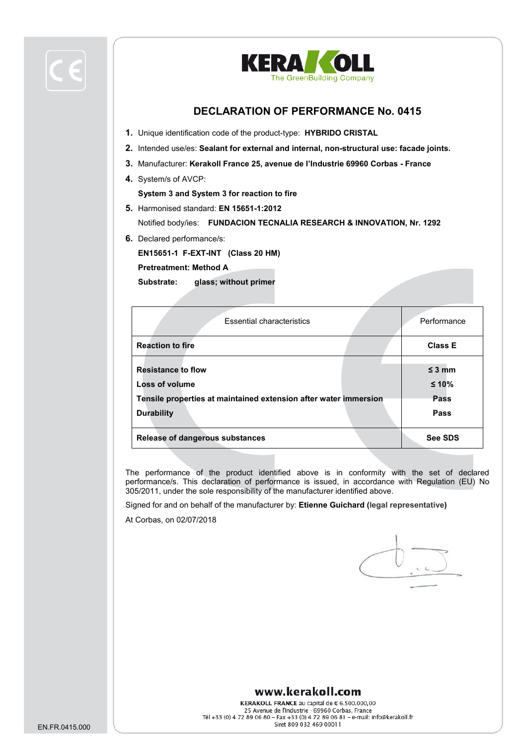



## **DECLARATION OF PERFORMANCE No. 0415**

- **1.** Unique identification code of the product-type: **HYBRIDO CRISTAL**
- **2.** Intended use/es: **Sealant for external and internal, non-structural use: facade joints.**
- **3.** Manufacturer: **Kerakoll France 25, avenue de l'Industrie 69960 Corbas - France**
- **4.** System/s of AVCP:

**System 3 and System 3 for reaction to fire**

**5.** Harmonised standard: **EN 15651-1:2012**

Notified body/ies: **FUNDACION TECNALIA RESEARCH & INNOVATION, Nr. 1292**

**6.** Declared performance/s:

**EN15651-1 F-EXT-INT (Class 20 HM)**

**Pretreatment: Method A** 

**Substrate: glass; without primer**

| <b>Essential characteristics</b>                                                                                                     | Performance                            |
|--------------------------------------------------------------------------------------------------------------------------------------|----------------------------------------|
| <b>Reaction to fire</b>                                                                                                              | <b>Class E</b>                         |
| <b>Resistance to flow</b><br>Loss of volume<br>Tensile properties at maintained extension after water immersion<br><b>Durability</b> | $\leq$ 3 mm<br>$≤ 10%$<br>Pass<br>Pass |
| <b>Release of dangerous substances</b>                                                                                               | <b>See SDS</b>                         |

The performance of the product identified above is in conformity with the set of declared performance/s. This declaration of performance is issued, in accordance with Regulation (EU) No 305/2011, under the sole responsibility of the manufacturer identified above.

Signed for and on behalf of the manufacturer by: **Etienne Guichard (legal representative)**

At Corbas, on 02/07/2018

## www.kerakoll.com

KERAKOLL FRANCE au capital de  $\epsilon$  6.500.000,00 25 Avenue de l'Industrie - 69960 Corbas, France Tél +33 (0) 4 72 89 06 80 - Fax +33 (0) 4 72 89 06 81 - e-mail: info@kerakoll.fr Siret 809 032 469 00011